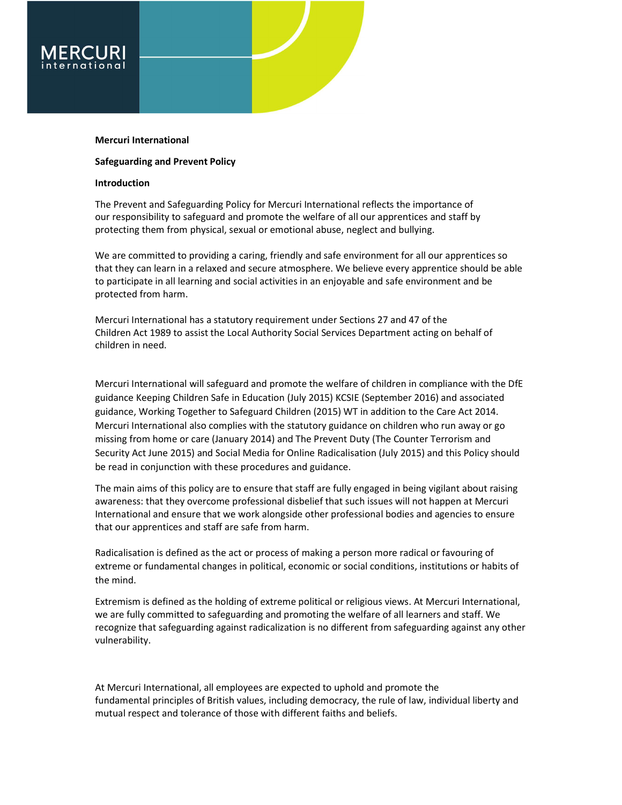# Mercuri International

# Safeguarding and Prevent Policy

# Introduction

The Prevent and Safeguarding Policy for Mercuri International reflects the importance of our responsibility to safeguard and promote the welfare of all our apprentices and staff by protecting them from physical, sexual or emotional abuse, neglect and bullying.

We are committed to providing a caring, friendly and safe environment for all our apprentices so that they can learn in a relaxed and secure atmosphere. We believe every apprentice should be able to participate in all learning and social activities in an enjoyable and safe environment and be protected from harm.

Mercuri International has a statutory requirement under Sections 27 and 47 of the Children Act 1989 to assist the Local Authority Social Services Department acting on behalf of children in need.

Mercuri International will safeguard and promote the welfare of children in compliance with the DfE guidance Keeping Children Safe in Education (July 2015) KCSIE (September 2016) and associated guidance, Working Together to Safeguard Children (2015) WT in addition to the Care Act 2014. Mercuri International also complies with the statutory guidance on children who run away or go missing from home or care (January 2014) and The Prevent Duty (The Counter Terrorism and Security Act June 2015) and Social Media for Online Radicalisation (July 2015) and this Policy should be read in conjunction with these procedures and guidance.

The main aims of this policy are to ensure that staff are fully engaged in being vigilant about raising awareness: that they overcome professional disbelief that such issues will not happen at Mercuri International and ensure that we work alongside other professional bodies and agencies to ensure that our apprentices and staff are safe from harm.

Radicalisation is defined as the act or process of making a person more radical or favouring of extreme or fundamental changes in political, economic or social conditions, institutions or habits of the mind.

Extremism is defined as the holding of extreme political or religious views. At Mercuri International, we are fully committed to safeguarding and promoting the welfare of all learners and staff. We recognize that safeguarding against radicalization is no different from safeguarding against any other vulnerability.

At Mercuri International, all employees are expected to uphold and promote the fundamental principles of British values, including democracy, the rule of law, individual liberty and mutual respect and tolerance of those with different faiths and beliefs.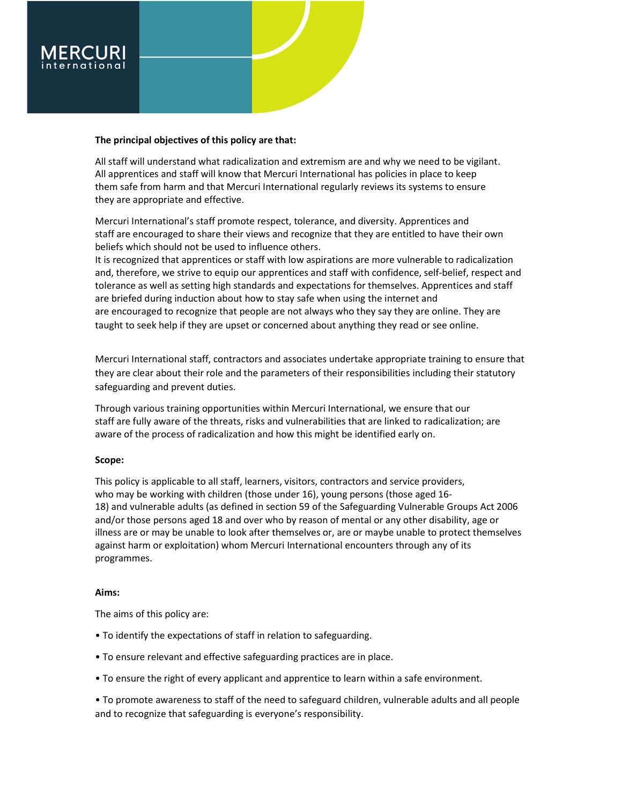

# The principal objectives of this policy are that:

All staff will understand what radicalization and extremism are and why we need to be vigilant. All apprentices and staff will know that Mercuri International has policies in place to keep them safe from harm and that Mercuri International regularly reviews its systems to ensure they are appropriate and effective.

Mercuri International's staff promote respect, tolerance, and diversity. Apprentices and staff are encouraged to share their views and recognize that they are entitled to have their own beliefs which should not be used to influence others.

It is recognized that apprentices or staff with low aspirations are more vulnerable to radicalization and, therefore, we strive to equip our apprentices and staff with confidence, self-belief, respect and tolerance as well as setting high standards and expectations for themselves. Apprentices and staff are briefed during induction about how to stay safe when using the internet and are encouraged to recognize that people are not always who they say they are online. They are taught to seek help if they are upset or concerned about anything they read or see online.

Mercuri International staff, contractors and associates undertake appropriate training to ensure that they are clear about their role and the parameters of their responsibilities including their statutory safeguarding and prevent duties.

Through various training opportunities within Mercuri International, we ensure that our staff are fully aware of the threats, risks and vulnerabilities that are linked to radicalization; are aware of the process of radicalization and how this might be identified early on.

# Scope:

This policy is applicable to all staff, learners, visitors, contractors and service providers, who may be working with children (those under 16), young persons (those aged 16- 18) and vulnerable adults (as defined in section 59 of the Safeguarding Vulnerable Groups Act 2006 and/or those persons aged 18 and over who by reason of mental or any other disability, age or illness are or may be unable to look after themselves or, are or maybe unable to protect themselves against harm or exploitation) whom Mercuri International encounters through any of its programmes.

# Aims:

The aims of this policy are:

- To identify the expectations of staff in relation to safeguarding.
- To ensure relevant and effective safeguarding practices are in place.
- To ensure the right of every applicant and apprentice to learn within a safe environment.

• To promote awareness to staff of the need to safeguard children, vulnerable adults and all people and to recognize that safeguarding is everyone's responsibility.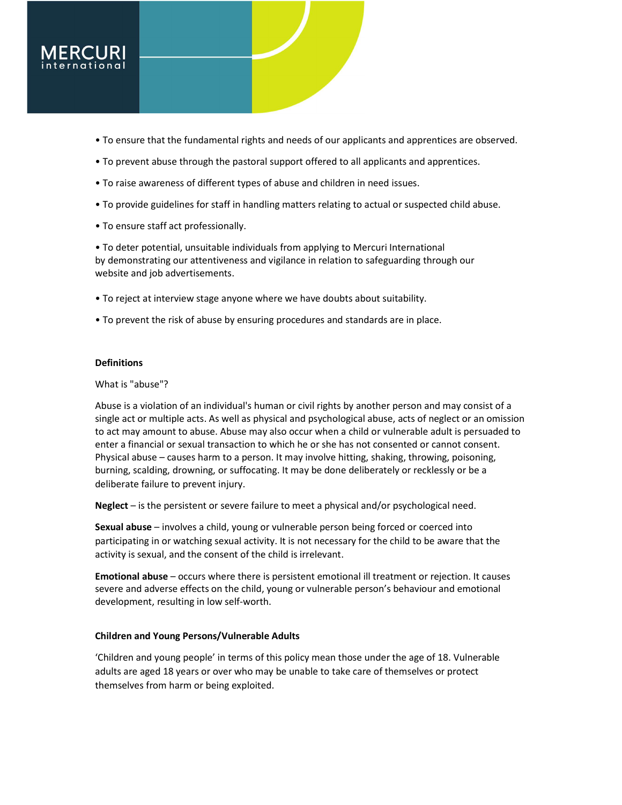

- To ensure that the fundamental rights and needs of our applicants and apprentices are observed.
- To prevent abuse through the pastoral support offered to all applicants and apprentices.
- To raise awareness of different types of abuse and children in need issues.
- To provide guidelines for staff in handling matters relating to actual or suspected child abuse.
- To ensure staff act professionally.

• To deter potential, unsuitable individuals from applying to Mercuri International by demonstrating our attentiveness and vigilance in relation to safeguarding through our website and job advertisements.

- To reject at interview stage anyone where we have doubts about suitability.
- To prevent the risk of abuse by ensuring procedures and standards are in place.

# **Definitions**

# What is "abuse"?

Abuse is a violation of an individual's human or civil rights by another person and may consist of a single act or multiple acts. As well as physical and psychological abuse, acts of neglect or an omission to act may amount to abuse. Abuse may also occur when a child or vulnerable adult is persuaded to enter a financial or sexual transaction to which he or she has not consented or cannot consent. Physical abuse – causes harm to a person. It may involve hitting, shaking, throwing, poisoning, burning, scalding, drowning, or suffocating. It may be done deliberately or recklessly or be a deliberate failure to prevent injury.

Neglect – is the persistent or severe failure to meet a physical and/or psychological need.

Sexual abuse – involves a child, young or vulnerable person being forced or coerced into participating in or watching sexual activity. It is not necessary for the child to be aware that the activity is sexual, and the consent of the child is irrelevant.

Emotional abuse – occurs where there is persistent emotional ill treatment or rejection. It causes severe and adverse effects on the child, young or vulnerable person's behaviour and emotional development, resulting in low self-worth.

# Children and Young Persons/Vulnerable Adults

'Children and young people' in terms of this policy mean those under the age of 18. Vulnerable adults are aged 18 years or over who may be unable to take care of themselves or protect themselves from harm or being exploited.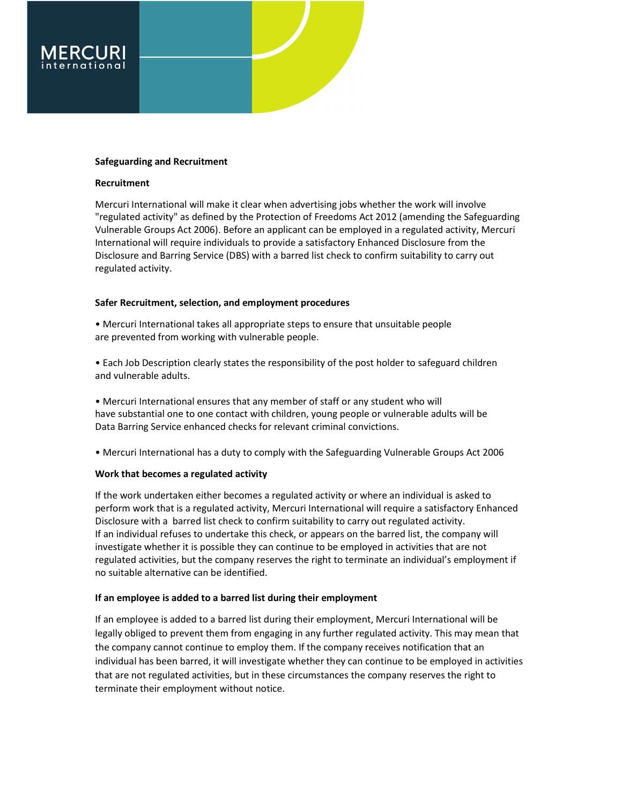

# Safeguarding and Recruitment

# Recruitment

Mercuri International will make it clear when advertising jobs whether the work will involve "regulated activity" as defined by the Protection of Freedoms Act 2012 (amending the Safeguarding Vulnerable Groups Act 2006). Before an applicant can be employed in a regulated activity, Mercuri International will require individuals to provide a satisfactory Enhanced Disclosure from the Disclosure and Barring Service (DBS) with a barred list check to confirm suitability to carry out regulated activity.

# Safer Recruitment, selection, and employment procedures

• Mercuri International takes all appropriate steps to ensure that unsuitable people are prevented from working with vulnerable people.

• Each Job Description clearly states the responsibility of the post holder to safeguard children and vulnerable adults.

• Mercuri International ensures that any member of staff or any student who will have substantial one to one contact with children, young people or vulnerable adults will be Data Barring Service enhanced checks for relevant criminal convictions.

• Mercuri International has a duty to comply with the Safeguarding Vulnerable Groups Act 2006

# Work that becomes a regulated activity

If the work undertaken either becomes a regulated activity or where an individual is asked to perform work that is a regulated activity, Mercuri International will require a satisfactory Enhanced Disclosure with a barred list check to confirm suitability to carry out regulated activity. If an individual refuses to undertake this check, or appears on the barred list, the company will investigate whether it is possible they can continue to be employed in activities that are not regulated activities, but the company reserves the right to terminate an individual's employment if no suitable alternative can be identified.

# If an employee is added to a barred list during their employment

If an employee is added to a barred list during their employment, Mercuri International will be legally obliged to prevent them from engaging in any further regulated activity. This may mean that the company cannot continue to employ them. If the company receives notification that an individual has been barred, it will investigate whether they can continue to be employed in activities that are not regulated activities, but in these circumstances the company reserves the right to terminate their employment without notice.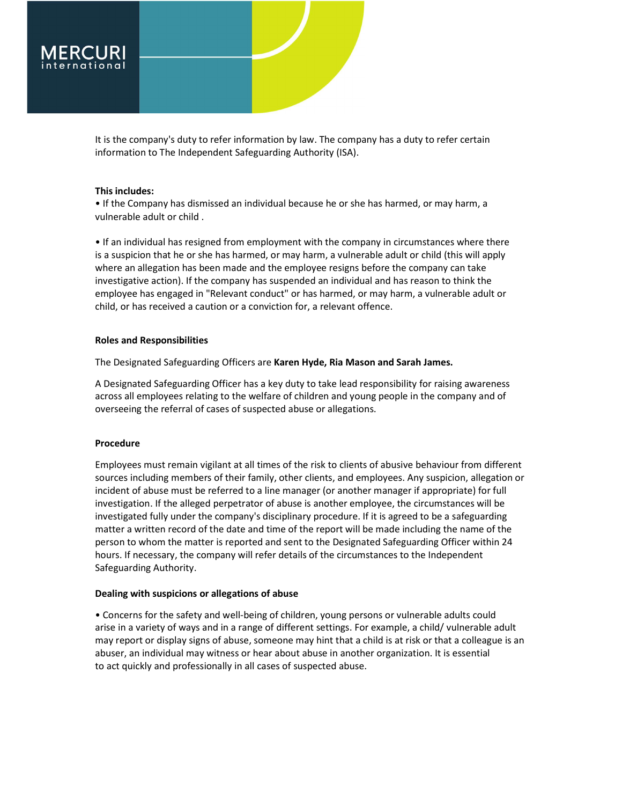

It is the company's duty to refer information by law. The company has a duty to refer certain information to The Independent Safeguarding Authority (ISA).

### This includes:

• If the Company has dismissed an individual because he or she has harmed, or may harm, a vulnerable adult or child .

• If an individual has resigned from employment with the company in circumstances where there is a suspicion that he or she has harmed, or may harm, a vulnerable adult or child (this will apply where an allegation has been made and the employee resigns before the company can take investigative action). If the company has suspended an individual and has reason to think the employee has engaged in "Relevant conduct" or has harmed, or may harm, a vulnerable adult or child, or has received a caution or a conviction for, a relevant offence.

### Roles and Responsibilities

The Designated Safeguarding Officers are Karen Hyde, Ria Mason and Sarah James.

A Designated Safeguarding Officer has a key duty to take lead responsibility for raising awareness across all employees relating to the welfare of children and young people in the company and of overseeing the referral of cases of suspected abuse or allegations.

### Procedure

Employees must remain vigilant at all times of the risk to clients of abusive behaviour from different sources including members of their family, other clients, and employees. Any suspicion, allegation or incident of abuse must be referred to a line manager (or another manager if appropriate) for full investigation. If the alleged perpetrator of abuse is another employee, the circumstances will be investigated fully under the company's disciplinary procedure. If it is agreed to be a safeguarding matter a written record of the date and time of the report will be made including the name of the person to whom the matter is reported and sent to the Designated Safeguarding Officer within 24 hours. If necessary, the company will refer details of the circumstances to the Independent Safeguarding Authority.

### Dealing with suspicions or allegations of abuse

• Concerns for the safety and well-being of children, young persons or vulnerable adults could arise in a variety of ways and in a range of different settings. For example, a child/ vulnerable adult may report or display signs of abuse, someone may hint that a child is at risk or that a colleague is an abuser, an individual may witness or hear about abuse in another organization. It is essential to act quickly and professionally in all cases of suspected abuse.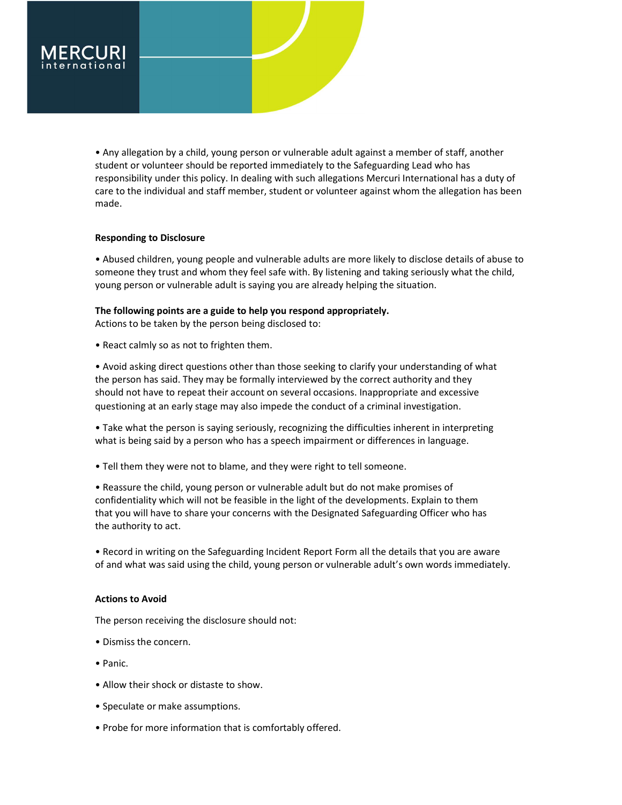

• Any allegation by a child, young person or vulnerable adult against a member of staff, another student or volunteer should be reported immediately to the Safeguarding Lead who has responsibility under this policy. In dealing with such allegations Mercuri International has a duty of care to the individual and staff member, student or volunteer against whom the allegation has been made.

# Responding to Disclosure

• Abused children, young people and vulnerable adults are more likely to disclose details of abuse to someone they trust and whom they feel safe with. By listening and taking seriously what the child, young person or vulnerable adult is saying you are already helping the situation.

# The following points are a guide to help you respond appropriately.

Actions to be taken by the person being disclosed to:

• React calmly so as not to frighten them.

• Avoid asking direct questions other than those seeking to clarify your understanding of what the person has said. They may be formally interviewed by the correct authority and they should not have to repeat their account on several occasions. Inappropriate and excessive questioning at an early stage may also impede the conduct of a criminal investigation.

• Take what the person is saying seriously, recognizing the difficulties inherent in interpreting what is being said by a person who has a speech impairment or differences in language.

• Tell them they were not to blame, and they were right to tell someone.

• Reassure the child, young person or vulnerable adult but do not make promises of confidentiality which will not be feasible in the light of the developments. Explain to them that you will have to share your concerns with the Designated Safeguarding Officer who has the authority to act.

• Record in writing on the Safeguarding Incident Report Form all the details that you are aware of and what was said using the child, young person or vulnerable adult's own words immediately.

# Actions to Avoid

The person receiving the disclosure should not:

- Dismiss the concern.
- Panic.
- Allow their shock or distaste to show.
- Speculate or make assumptions.
- Probe for more information that is comfortably offered.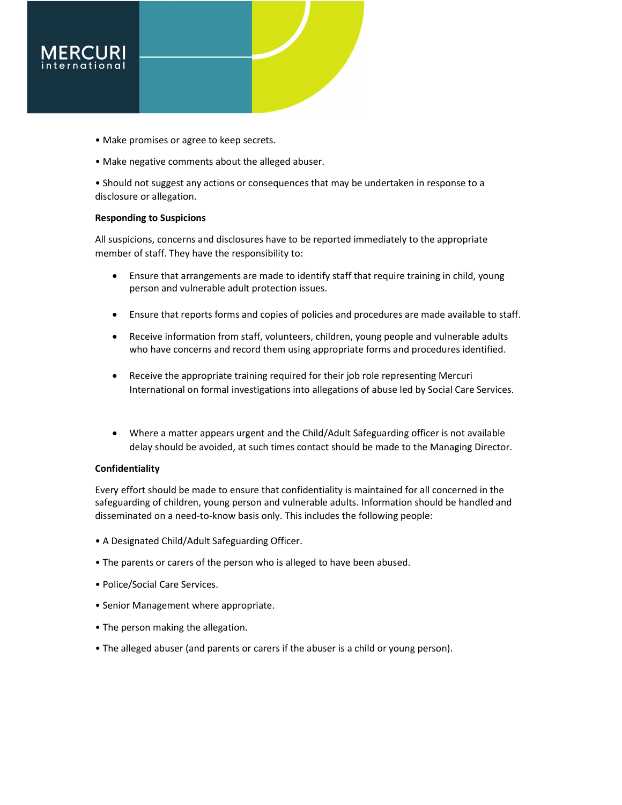

- Make promises or agree to keep secrets.
- Make negative comments about the alleged abuser.
- Should not suggest any actions or consequences that may be undertaken in response to a disclosure or allegation.

# Responding to Suspicions

All suspicions, concerns and disclosures have to be reported immediately to the appropriate member of staff. They have the responsibility to:

- Ensure that arrangements are made to identify staff that require training in child, young person and vulnerable adult protection issues.
- Ensure that reports forms and copies of policies and procedures are made available to staff.
- Receive information from staff, volunteers, children, young people and vulnerable adults who have concerns and record them using appropriate forms and procedures identified.
- Receive the appropriate training required for their job role representing Mercuri International on formal investigations into allegations of abuse led by Social Care Services.
- Where a matter appears urgent and the Child/Adult Safeguarding officer is not available delay should be avoided, at such times contact should be made to the Managing Director.

# Confidentiality

Every effort should be made to ensure that confidentiality is maintained for all concerned in the safeguarding of children, young person and vulnerable adults. Information should be handled and disseminated on a need-to-know basis only. This includes the following people:

- A Designated Child/Adult Safeguarding Officer.
- The parents or carers of the person who is alleged to have been abused.
- Police/Social Care Services.
- Senior Management where appropriate.
- The person making the allegation.
- The alleged abuser (and parents or carers if the abuser is a child or young person).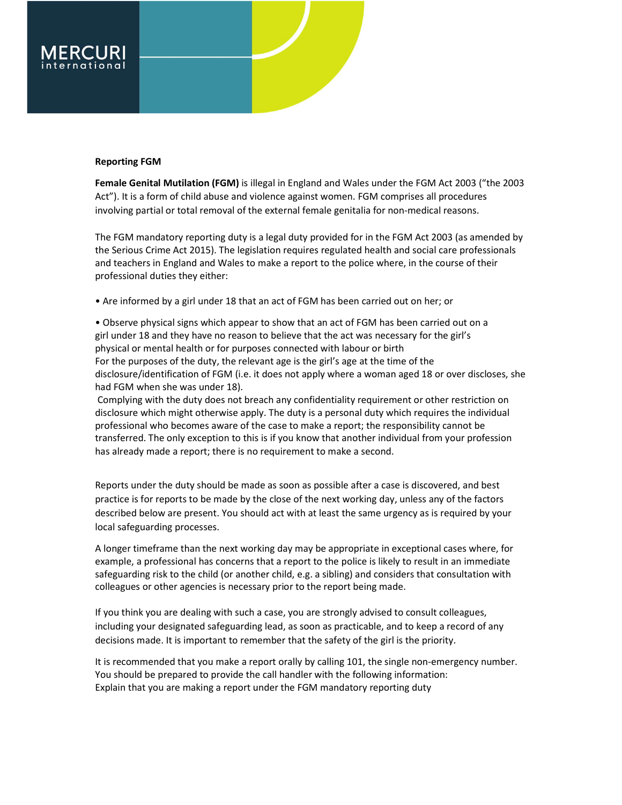### Reporting FGM

Female Genital Mutilation (FGM) is illegal in England and Wales under the FGM Act 2003 ("the 2003 Act"). It is a form of child abuse and violence against women. FGM comprises all procedures involving partial or total removal of the external female genitalia for non-medical reasons.

The FGM mandatory reporting duty is a legal duty provided for in the FGM Act 2003 (as amended by the Serious Crime Act 2015). The legislation requires regulated health and social care professionals and teachers in England and Wales to make a report to the police where, in the course of their professional duties they either:

• Are informed by a girl under 18 that an act of FGM has been carried out on her; or

• Observe physical signs which appear to show that an act of FGM has been carried out on a girl under 18 and they have no reason to believe that the act was necessary for the girl's physical or mental health or for purposes connected with labour or birth For the purposes of the duty, the relevant age is the girl's age at the time of the disclosure/identification of FGM (i.e. it does not apply where a woman aged 18 or over discloses, she had FGM when she was under 18).

 Complying with the duty does not breach any confidentiality requirement or other restriction on disclosure which might otherwise apply. The duty is a personal duty which requires the individual professional who becomes aware of the case to make a report; the responsibility cannot be transferred. The only exception to this is if you know that another individual from your profession has already made a report; there is no requirement to make a second.

Reports under the duty should be made as soon as possible after a case is discovered, and best practice is for reports to be made by the close of the next working day, unless any of the factors described below are present. You should act with at least the same urgency as is required by your local safeguarding processes.

A longer timeframe than the next working day may be appropriate in exceptional cases where, for example, a professional has concerns that a report to the police is likely to result in an immediate safeguarding risk to the child (or another child, e.g. a sibling) and considers that consultation with colleagues or other agencies is necessary prior to the report being made.

If you think you are dealing with such a case, you are strongly advised to consult colleagues, including your designated safeguarding lead, as soon as practicable, and to keep a record of any decisions made. It is important to remember that the safety of the girl is the priority.

It is recommended that you make a report orally by calling 101, the single non-emergency number. You should be prepared to provide the call handler with the following information: Explain that you are making a report under the FGM mandatory reporting duty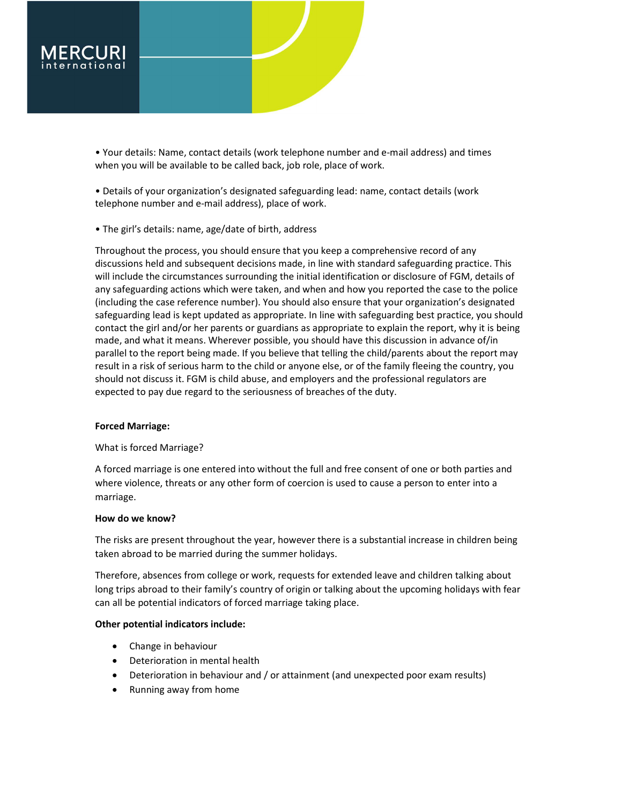

• Your details: Name, contact details (work telephone number and e-mail address) and times when you will be available to be called back, job role, place of work.

• Details of your organization's designated safeguarding lead: name, contact details (work telephone number and e-mail address), place of work.

• The girl's details: name, age/date of birth, address

Throughout the process, you should ensure that you keep a comprehensive record of any discussions held and subsequent decisions made, in line with standard safeguarding practice. This will include the circumstances surrounding the initial identification or disclosure of FGM, details of any safeguarding actions which were taken, and when and how you reported the case to the police (including the case reference number). You should also ensure that your organization's designated safeguarding lead is kept updated as appropriate. In line with safeguarding best practice, you should contact the girl and/or her parents or guardians as appropriate to explain the report, why it is being made, and what it means. Wherever possible, you should have this discussion in advance of/in parallel to the report being made. If you believe that telling the child/parents about the report may result in a risk of serious harm to the child or anyone else, or of the family fleeing the country, you should not discuss it. FGM is child abuse, and employers and the professional regulators are expected to pay due regard to the seriousness of breaches of the duty.

# Forced Marriage:

# What is forced Marriage?

A forced marriage is one entered into without the full and free consent of one or both parties and where violence, threats or any other form of coercion is used to cause a person to enter into a marriage.

# How do we know?

The risks are present throughout the year, however there is a substantial increase in children being taken abroad to be married during the summer holidays.

Therefore, absences from college or work, requests for extended leave and children talking about long trips abroad to their family's country of origin or talking about the upcoming holidays with fear can all be potential indicators of forced marriage taking place.

# Other potential indicators include:

- Change in behaviour
- Deterioration in mental health
- Deterioration in behaviour and / or attainment (and unexpected poor exam results)
- Running away from home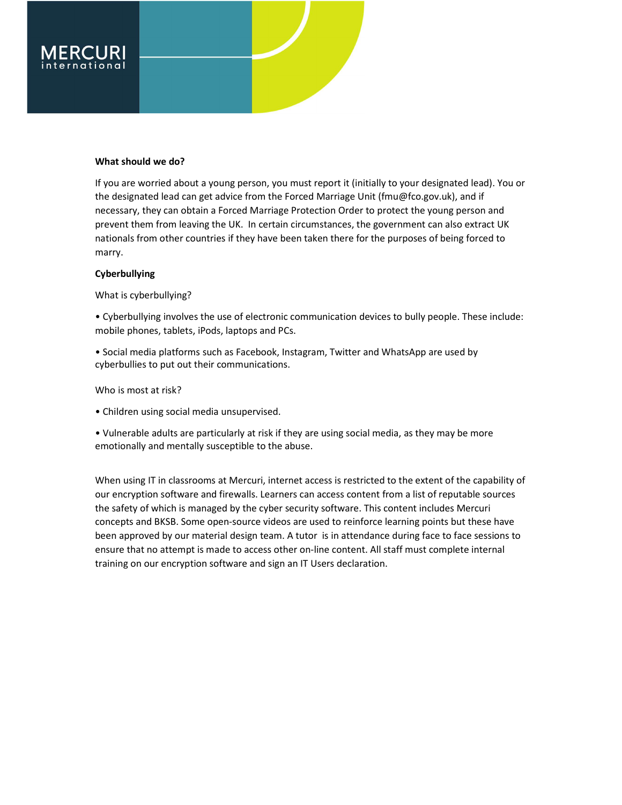

# What should we do?

If you are worried about a young person, you must report it (initially to your designated lead). You or the designated lead can get advice from the Forced Marriage Unit (fmu@fco.gov.uk), and if necessary, they can obtain a Forced Marriage Protection Order to protect the young person and prevent them from leaving the UK. In certain circumstances, the government can also extract UK nationals from other countries if they have been taken there for the purposes of being forced to marry.

# Cyberbullying

What is cyberbullying?

• Cyberbullying involves the use of electronic communication devices to bully people. These include: mobile phones, tablets, iPods, laptops and PCs.

• Social media platforms such as Facebook, Instagram, Twitter and WhatsApp are used by cyberbullies to put out their communications.

# Who is most at risk?

• Children using social media unsupervised.

• Vulnerable adults are particularly at risk if they are using social media, as they may be more emotionally and mentally susceptible to the abuse.

When using IT in classrooms at Mercuri, internet access is restricted to the extent of the capability of our encryption software and firewalls. Learners can access content from a list of reputable sources the safety of which is managed by the cyber security software. This content includes Mercuri concepts and BKSB. Some open-source videos are used to reinforce learning points but these have been approved by our material design team. A tutor is in attendance during face to face sessions to ensure that no attempt is made to access other on-line content. All staff must complete internal training on our encryption software and sign an IT Users declaration.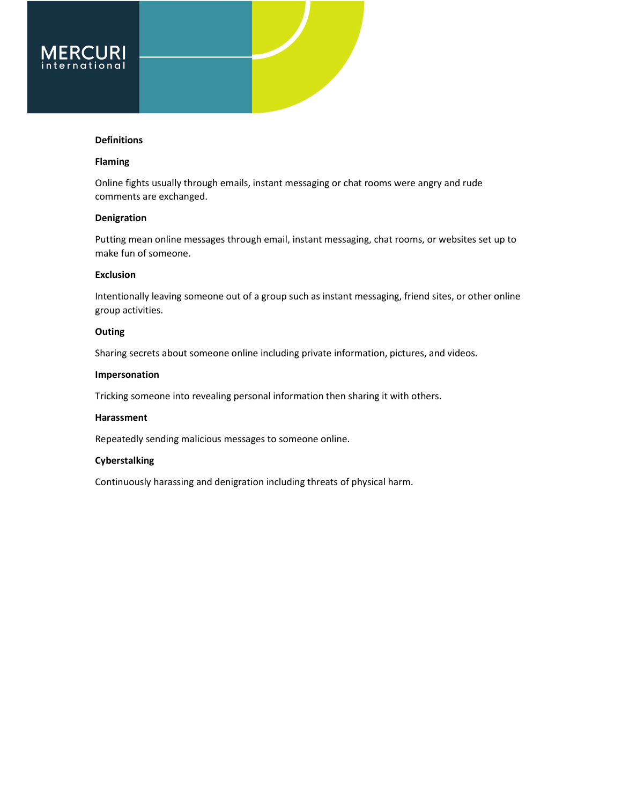### Definitions

# Flaming

Online fights usually through emails, instant messaging or chat rooms were angry and rude comments are exchanged.

# Denigration

Putting mean online messages through email, instant messaging, chat rooms, or websites set up to make fun of someone.

# Exclusion

Intentionally leaving someone out of a group such as instant messaging, friend sites, or other online group activities.

### **Outing**

Sharing secrets about someone online including private information, pictures, and videos.

# Impersonation

Tricking someone into revealing personal information then sharing it with others.

# Harassment

Repeatedly sending malicious messages to someone online.

# Cyberstalking

Continuously harassing and denigration including threats of physical harm.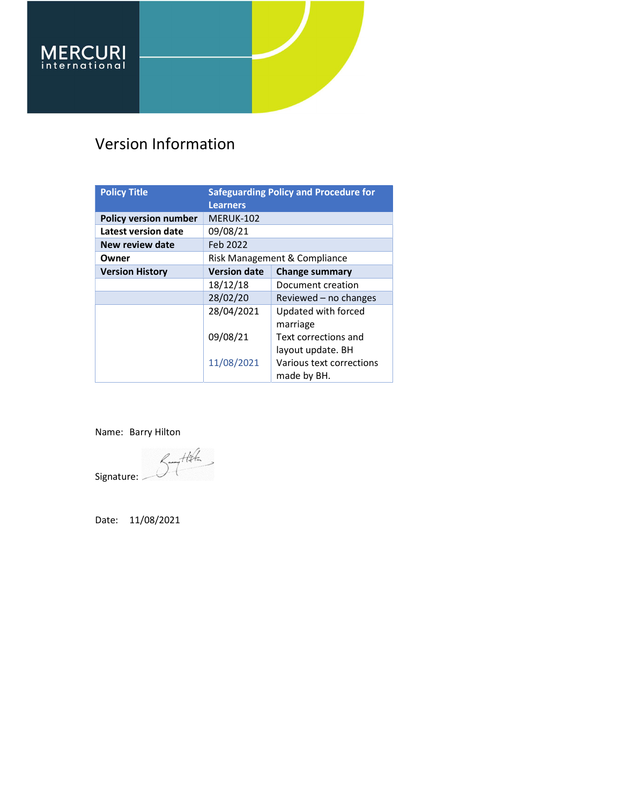# Version Information

| <b>Policy Title</b>          | <b>Safeguarding Policy and Procedure for</b> |                          |
|------------------------------|----------------------------------------------|--------------------------|
|                              | <b>Learners</b>                              |                          |
| <b>Policy version number</b> | <b>MERUK-102</b>                             |                          |
| Latest version date          | 09/08/21                                     |                          |
| New review date              | Feb 2022                                     |                          |
| Owner                        | Risk Management & Compliance                 |                          |
| <b>Version History</b>       | <b>Version date</b>                          | <b>Change summary</b>    |
|                              | 18/12/18                                     | Document creation        |
|                              | 28/02/20                                     | Reviewed $-$ no changes  |
|                              | 28/04/2021                                   | Updated with forced      |
|                              |                                              | marriage                 |
|                              | 09/08/21                                     | Text corrections and     |
|                              |                                              | layout update. BH        |
|                              | 11/08/2021                                   | Various text corrections |
|                              |                                              | made by BH.              |

Name: Barry Hilton

Signature: Sont

Date: 11/08/2021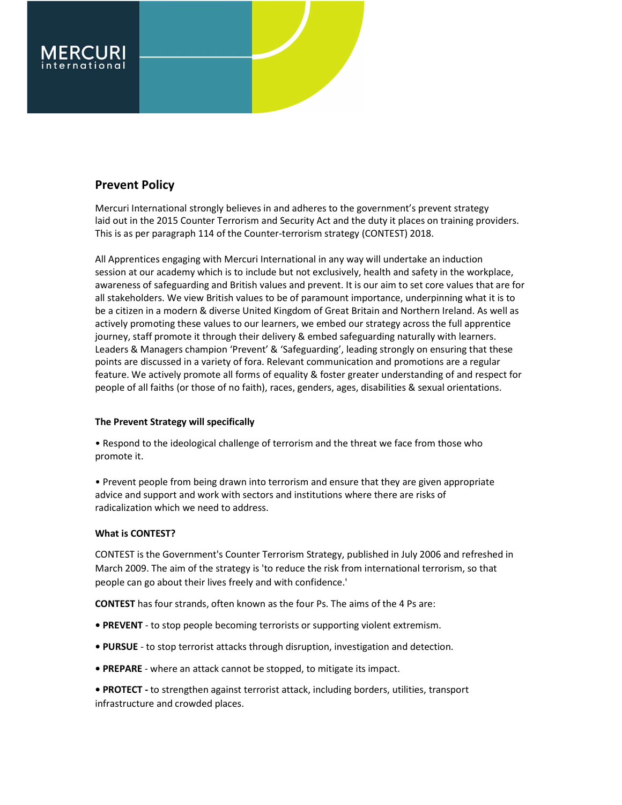

# Prevent Policy

Mercuri International strongly believes in and adheres to the government's prevent strategy laid out in the 2015 Counter Terrorism and Security Act and the duty it places on training providers. This is as per paragraph 114 of the Counter-terrorism strategy (CONTEST) 2018.

All Apprentices engaging with Mercuri International in any way will undertake an induction session at our academy which is to include but not exclusively, health and safety in the workplace, awareness of safeguarding and British values and prevent. It is our aim to set core values that are for all stakeholders. We view British values to be of paramount importance, underpinning what it is to be a citizen in a modern & diverse United Kingdom of Great Britain and Northern Ireland. As well as actively promoting these values to our learners, we embed our strategy across the full apprentice journey, staff promote it through their delivery & embed safeguarding naturally with learners. Leaders & Managers champion 'Prevent' & 'Safeguarding', leading strongly on ensuring that these points are discussed in a variety of fora. Relevant communication and promotions are a regular feature. We actively promote all forms of equality & foster greater understanding of and respect for people of all faiths (or those of no faith), races, genders, ages, disabilities & sexual orientations.

# The Prevent Strategy will specifically

• Respond to the ideological challenge of terrorism and the threat we face from those who promote it.

• Prevent people from being drawn into terrorism and ensure that they are given appropriate advice and support and work with sectors and institutions where there are risks of radicalization which we need to address.

# What is CONTEST?

CONTEST is the Government's Counter Terrorism Strategy, published in July 2006 and refreshed in March 2009. The aim of the strategy is 'to reduce the risk from international terrorism, so that people can go about their lives freely and with confidence.'

CONTEST has four strands, often known as the four Ps. The aims of the 4 Ps are:

- PREVENT to stop people becoming terrorists or supporting violent extremism.
- PURSUE to stop terrorist attacks through disruption, investigation and detection.
- PREPARE where an attack cannot be stopped, to mitigate its impact.
- PROTECT to strengthen against terrorist attack, including borders, utilities, transport infrastructure and crowded places.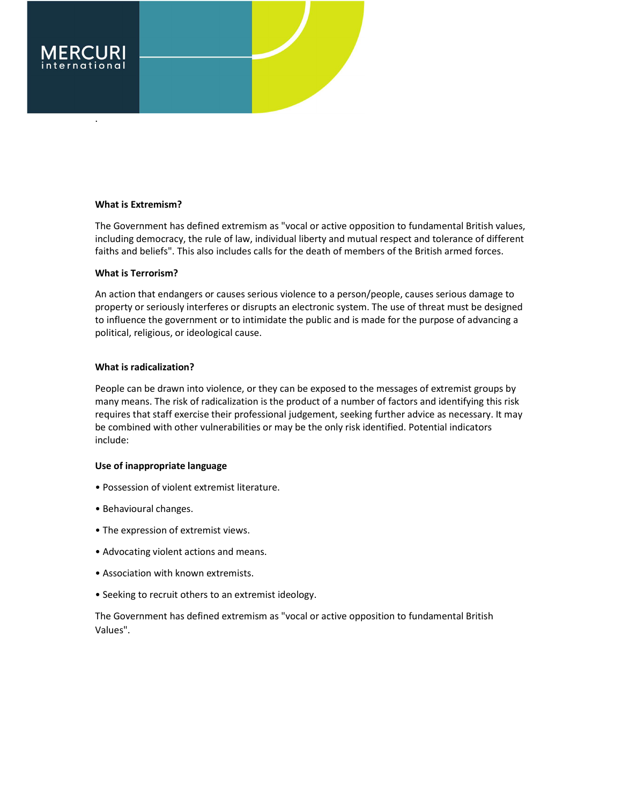

# What is Extremism?

The Government has defined extremism as "vocal or active opposition to fundamental British values, including democracy, the rule of law, individual liberty and mutual respect and tolerance of different faiths and beliefs". This also includes calls for the death of members of the British armed forces.

# What is Terrorism?

An action that endangers or causes serious violence to a person/people, causes serious damage to property or seriously interferes or disrupts an electronic system. The use of threat must be designed to influence the government or to intimidate the public and is made for the purpose of advancing a political, religious, or ideological cause.

# What is radicalization?

People can be drawn into violence, or they can be exposed to the messages of extremist groups by many means. The risk of radicalization is the product of a number of factors and identifying this risk requires that staff exercise their professional judgement, seeking further advice as necessary. It may be combined with other vulnerabilities or may be the only risk identified. Potential indicators include:

# Use of inappropriate language

- Possession of violent extremist literature.
- Behavioural changes.
- The expression of extremist views.
- Advocating violent actions and means.
- Association with known extremists.
- Seeking to recruit others to an extremist ideology.

The Government has defined extremism as "vocal or active opposition to fundamental British Values".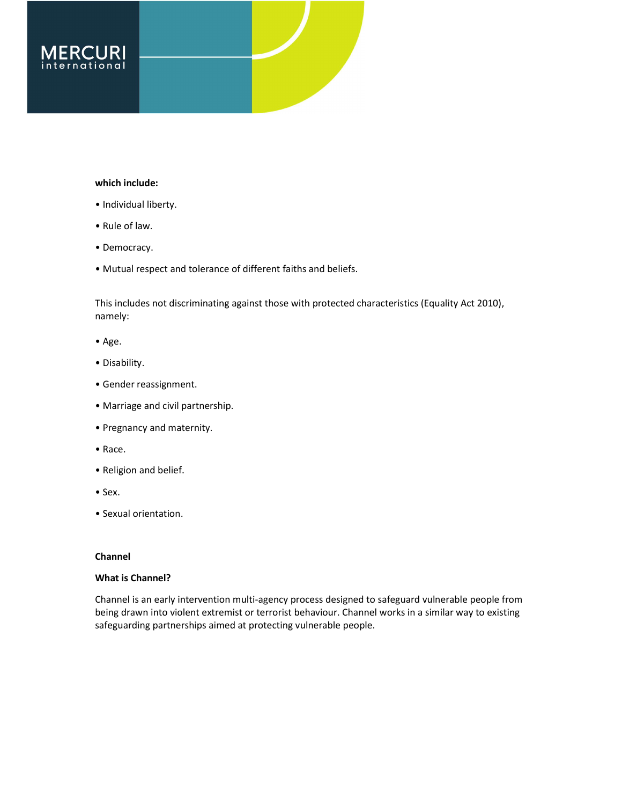

# which include:

- Individual liberty.
- Rule of law.
- Democracy.
- Mutual respect and tolerance of different faiths and beliefs.

This includes not discriminating against those with protected characteristics (Equality Act 2010), namely:

- Age.
- Disability.
- Gender reassignment.
- Marriage and civil partnership.
- Pregnancy and maternity.
- Race.
- Religion and belief.
- Sex.
- Sexual orientation.

# Channel

# What is Channel?

Channel is an early intervention multi-agency process designed to safeguard vulnerable people from being drawn into violent extremist or terrorist behaviour. Channel works in a similar way to existing safeguarding partnerships aimed at protecting vulnerable people.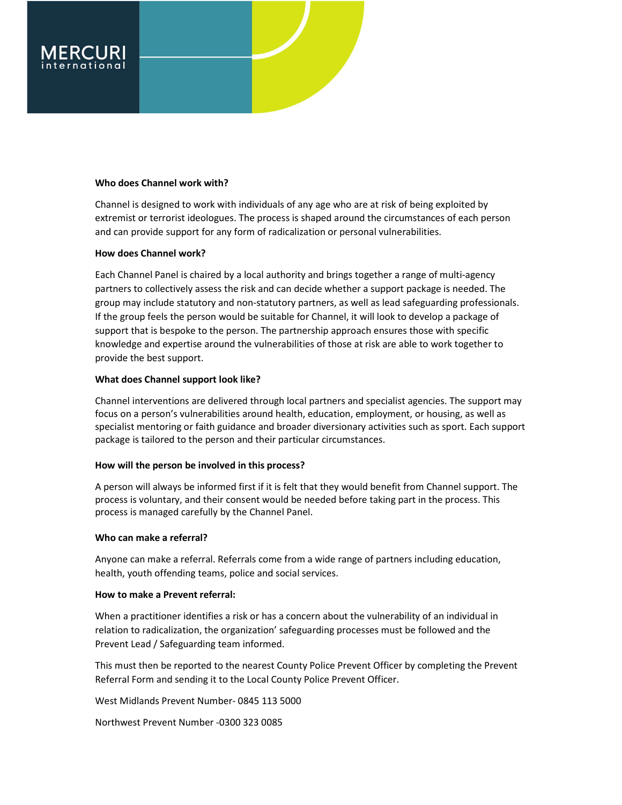

# Who does Channel work with?

Channel is designed to work with individuals of any age who are at risk of being exploited by extremist or terrorist ideologues. The process is shaped around the circumstances of each person and can provide support for any form of radicalization or personal vulnerabilities.

# How does Channel work?

Each Channel Panel is chaired by a local authority and brings together a range of multi-agency partners to collectively assess the risk and can decide whether a support package is needed. The group may include statutory and non-statutory partners, as well as lead safeguarding professionals. If the group feels the person would be suitable for Channel, it will look to develop a package of support that is bespoke to the person. The partnership approach ensures those with specific knowledge and expertise around the vulnerabilities of those at risk are able to work together to provide the best support.

# What does Channel support look like?

Channel interventions are delivered through local partners and specialist agencies. The support may focus on a person's vulnerabilities around health, education, employment, or housing, as well as specialist mentoring or faith guidance and broader diversionary activities such as sport. Each support package is tailored to the person and their particular circumstances.

# How will the person be involved in this process?

A person will always be informed first if it is felt that they would benefit from Channel support. The process is voluntary, and their consent would be needed before taking part in the process. This process is managed carefully by the Channel Panel.

# Who can make a referral?

Anyone can make a referral. Referrals come from a wide range of partners including education, health, youth offending teams, police and social services.

# How to make a Prevent referral:

When a practitioner identifies a risk or has a concern about the vulnerability of an individual in relation to radicalization, the organization' safeguarding processes must be followed and the Prevent Lead / Safeguarding team informed.

This must then be reported to the nearest County Police Prevent Officer by completing the Prevent Referral Form and sending it to the Local County Police Prevent Officer.

West Midlands Prevent Number- 0845 113 5000

Northwest Prevent Number -0300 323 0085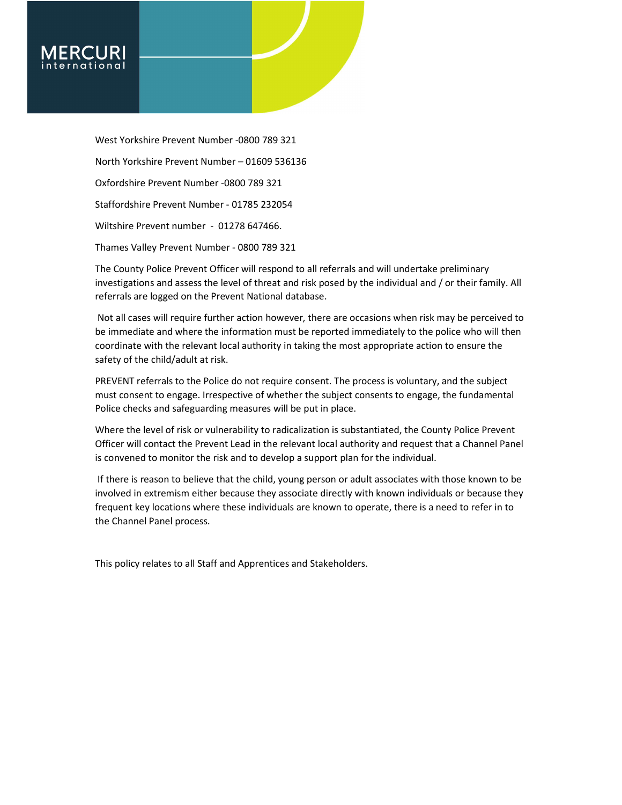

West Yorkshire Prevent Number -0800 789 321 North Yorkshire Prevent Number – 01609 536136 Oxfordshire Prevent Number -0800 789 321 Staffordshire Prevent Number - 01785 232054 Wiltshire Prevent number - 01278 647466. Thames Valley Prevent Number - 0800 789 321

The County Police Prevent Officer will respond to all referrals and will undertake preliminary investigations and assess the level of threat and risk posed by the individual and / or their family. All referrals are logged on the Prevent National database.

 Not all cases will require further action however, there are occasions when risk may be perceived to be immediate and where the information must be reported immediately to the police who will then coordinate with the relevant local authority in taking the most appropriate action to ensure the safety of the child/adult at risk.

PREVENT referrals to the Police do not require consent. The process is voluntary, and the subject must consent to engage. Irrespective of whether the subject consents to engage, the fundamental Police checks and safeguarding measures will be put in place.

Where the level of risk or vulnerability to radicalization is substantiated, the County Police Prevent Officer will contact the Prevent Lead in the relevant local authority and request that a Channel Panel is convened to monitor the risk and to develop a support plan for the individual.

 If there is reason to believe that the child, young person or adult associates with those known to be involved in extremism either because they associate directly with known individuals or because they frequent key locations where these individuals are known to operate, there is a need to refer in to the Channel Panel process.

This policy relates to all Staff and Apprentices and Stakeholders.